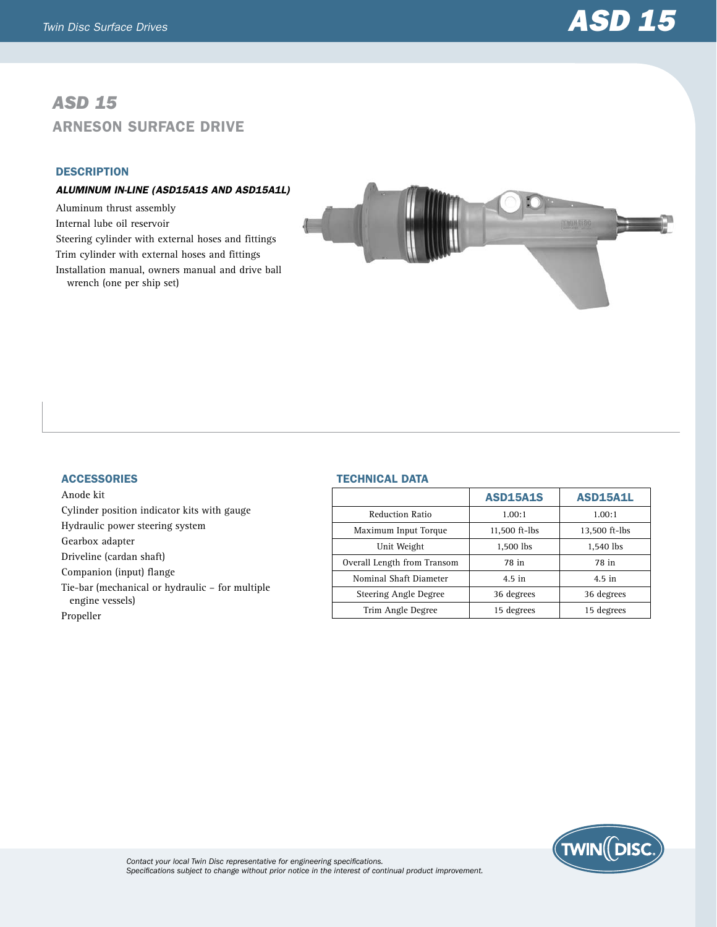# *ASD 15* Arneson Surface Drive

## **DESCRIPTION**

## *ALUMINUM IN-LINE (ASD15A1S and ASD15A1L)*

Aluminum thrust assembly Internal lube oil reservoir Steering cylinder with external hoses and fittings Trim cylinder with external hoses and fittings Installation manual, owners manual and drive ball wrench (one per ship set)



#### **ACCESSORIES**

Anode kit Cylinder position indicator kits with gauge Hydraulic power steering system Gearbox adapter Driveline (cardan shaft) Companion (input) flange Tie-bar (mechanical or hydraulic – for multiple engine vessels) Propeller

### Technical Data

|                             | <b>ASD15A1S</b> | <b>ASD15A1L</b> |
|-----------------------------|-----------------|-----------------|
| <b>Reduction Ratio</b>      | 1.00:1          | 1.00:1          |
| Maximum Input Torque        | 11,500 ft-lbs   | 13,500 ft-lbs   |
| Unit Weight                 | 1.500 lbs       | 1,540 lbs       |
| Overall Length from Transom | 78 in           | 78 in           |
| Nominal Shaft Diameter      | $4.5$ in        | $4.5$ in        |
| Steering Angle Degree       | 36 degrees      | 36 degrees      |
| Trim Angle Degree           | 15 degrees      | 15 degrees      |



*Contact your local Twin Disc representative for engineering specifications. Specifications subject to change without prior notice in the interest of continual product improvement.*